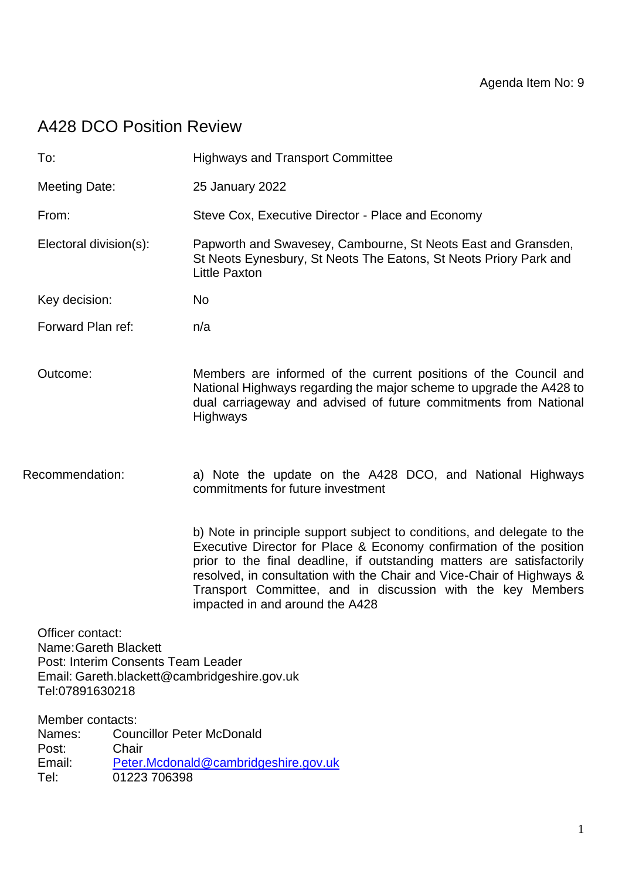# A428 DCO Position Review

| To:                       |                                                                                | <b>Highways and Transport Committee</b>                                                                                                                                                                                                                                                                                                                                                             |
|---------------------------|--------------------------------------------------------------------------------|-----------------------------------------------------------------------------------------------------------------------------------------------------------------------------------------------------------------------------------------------------------------------------------------------------------------------------------------------------------------------------------------------------|
| <b>Meeting Date:</b>      |                                                                                | 25 January 2022                                                                                                                                                                                                                                                                                                                                                                                     |
| From:                     |                                                                                | Steve Cox, Executive Director - Place and Economy                                                                                                                                                                                                                                                                                                                                                   |
|                           | Electoral division(s):                                                         | Papworth and Swavesey, Cambourne, St Neots East and Gransden,<br>St Neots Eynesbury, St Neots The Eatons, St Neots Priory Park and<br><b>Little Paxton</b>                                                                                                                                                                                                                                          |
| Key decision:             |                                                                                | <b>No</b>                                                                                                                                                                                                                                                                                                                                                                                           |
| Forward Plan ref:         |                                                                                | n/a                                                                                                                                                                                                                                                                                                                                                                                                 |
| Outcome:                  |                                                                                | Members are informed of the current positions of the Council and<br>National Highways regarding the major scheme to upgrade the A428 to<br>dual carriageway and advised of future commitments from National<br>Highways                                                                                                                                                                             |
| Recommendation:           |                                                                                | a) Note the update on the A428 DCO, and National Highways<br>commitments for future investment                                                                                                                                                                                                                                                                                                      |
|                           |                                                                                | b) Note in principle support subject to conditions, and delegate to the<br>Executive Director for Place & Economy confirmation of the position<br>prior to the final deadline, if outstanding matters are satisfactorily<br>resolved, in consultation with the Chair and Vice-Chair of Highways &<br>Transport Committee, and in discussion with the key Members<br>impacted in and around the A428 |
| Officer contact:          | Name: Gareth Blackett<br>Post: Interim Consents Team Leader<br>Tel:07891630218 | Email: Gareth.blackett@cambridgeshire.gov.uk                                                                                                                                                                                                                                                                                                                                                        |
| Names:<br>Post:<br>Email: | Member contacts:<br>Chair                                                      | <b>Councillor Peter McDonald</b><br>Peter.Mcdonald@cambridgeshire.gov.uk                                                                                                                                                                                                                                                                                                                            |

Tel: 01223 706398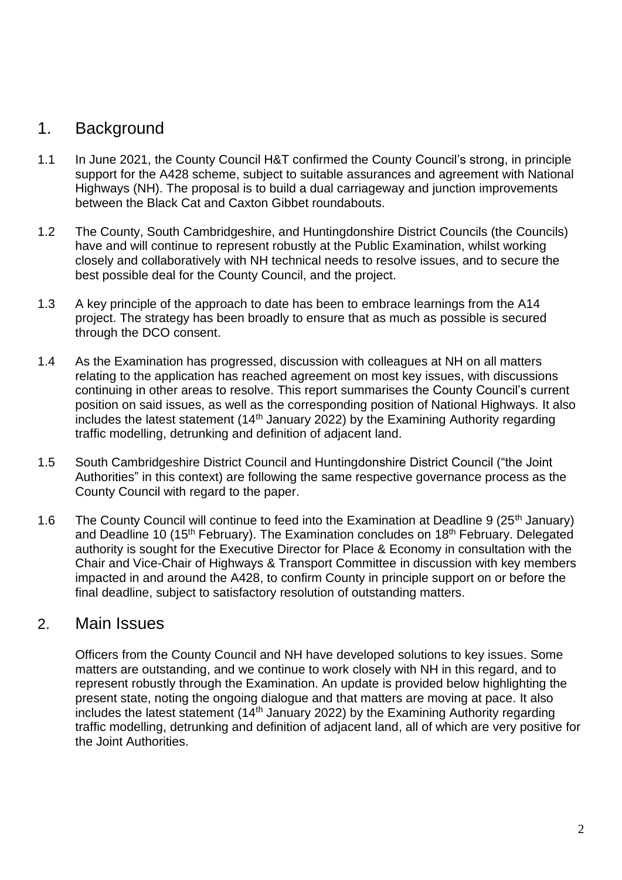## 1. Background

- 1.1 In June 2021, the County Council H&T confirmed the County Council's strong, in principle support for the A428 scheme, subject to suitable assurances and agreement with National Highways (NH). The proposal is to build a dual carriageway and junction improvements between the Black Cat and Caxton Gibbet roundabouts.
- 1.2 The County, South Cambridgeshire, and Huntingdonshire District Councils (the Councils) have and will continue to represent robustly at the Public Examination, whilst working closely and collaboratively with NH technical needs to resolve issues, and to secure the best possible deal for the County Council, and the project.
- 1.3 A key principle of the approach to date has been to embrace learnings from the A14 project. The strategy has been broadly to ensure that as much as possible is secured through the DCO consent.
- 1.4 As the Examination has progressed, discussion with colleagues at NH on all matters relating to the application has reached agreement on most key issues, with discussions continuing in other areas to resolve. This report summarises the County Council's current position on said issues, as well as the corresponding position of National Highways. It also includes the latest statement (14th January 2022) by the Examining Authority regarding traffic modelling, detrunking and definition of adjacent land.
- 1.5 South Cambridgeshire District Council and Huntingdonshire District Council ("the Joint Authorities" in this context) are following the same respective governance process as the County Council with regard to the paper.
- 1.6 The County Council will continue to feed into the Examination at Deadline 9 (25<sup>th</sup> January) and Deadline 10 (15<sup>th</sup> February). The Examination concludes on 18<sup>th</sup> February. Delegated authority is sought for the Executive Director for Place & Economy in consultation with the Chair and Vice-Chair of Highways & Transport Committee in discussion with key members impacted in and around the A428, to confirm County in principle support on or before the final deadline, subject to satisfactory resolution of outstanding matters.

## 2. Main Issues

Officers from the County Council and NH have developed solutions to key issues. Some matters are outstanding, and we continue to work closely with NH in this regard, and to represent robustly through the Examination. An update is provided below highlighting the present state, noting the ongoing dialogue and that matters are moving at pace. It also includes the latest statement  $(14<sup>th</sup>$  January 2022) by the Examining Authority regarding traffic modelling, detrunking and definition of adjacent land, all of which are very positive for the Joint Authorities.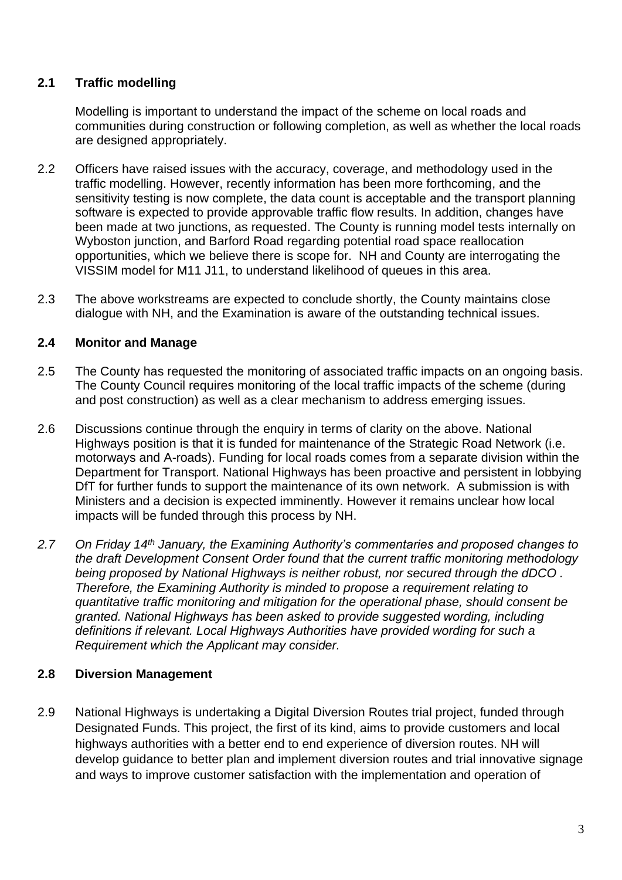## **2.1 Traffic modelling**

Modelling is important to understand the impact of the scheme on local roads and communities during construction or following completion, as well as whether the local roads are designed appropriately.

- 2.2 Officers have raised issues with the accuracy, coverage, and methodology used in the traffic modelling. However, recently information has been more forthcoming, and the sensitivity testing is now complete, the data count is acceptable and the transport planning software is expected to provide approvable traffic flow results. In addition, changes have been made at two junctions, as requested. The County is running model tests internally on Wyboston junction, and Barford Road regarding potential road space reallocation opportunities, which we believe there is scope for. NH and County are interrogating the VISSIM model for M11 J11, to understand likelihood of queues in this area.
- 2.3 The above workstreams are expected to conclude shortly, the County maintains close dialogue with NH, and the Examination is aware of the outstanding technical issues.

#### **2.4 Monitor and Manage**

- 2.5 The County has requested the monitoring of associated traffic impacts on an ongoing basis. The County Council requires monitoring of the local traffic impacts of the scheme (during and post construction) as well as a clear mechanism to address emerging issues.
- 2.6 Discussions continue through the enquiry in terms of clarity on the above. National Highways position is that it is funded for maintenance of the Strategic Road Network (i.e. motorways and A-roads). Funding for local roads comes from a separate division within the Department for Transport. National Highways has been proactive and persistent in lobbying DfT for further funds to support the maintenance of its own network. A submission is with Ministers and a decision is expected imminently. However it remains unclear how local impacts will be funded through this process by NH.
- *2.7 On Friday 14th January, the Examining Authority's commentaries and proposed changes to the draft Development Consent Order found that the current traffic monitoring methodology being proposed by National Highways is neither robust, nor secured through the dDCO . Therefore, the Examining Authority is minded to propose a requirement relating to quantitative traffic monitoring and mitigation for the operational phase, should consent be granted. National Highways has been asked to provide suggested wording, including definitions if relevant. Local Highways Authorities have provided wording for such a Requirement which the Applicant may consider.*

### **2.8 Diversion Management**

2.9 National Highways is undertaking a Digital Diversion Routes trial project, funded through Designated Funds. This project, the first of its kind, aims to provide customers and local highways authorities with a better end to end experience of diversion routes. NH will develop guidance to better plan and implement diversion routes and trial innovative signage and ways to improve customer satisfaction with the implementation and operation of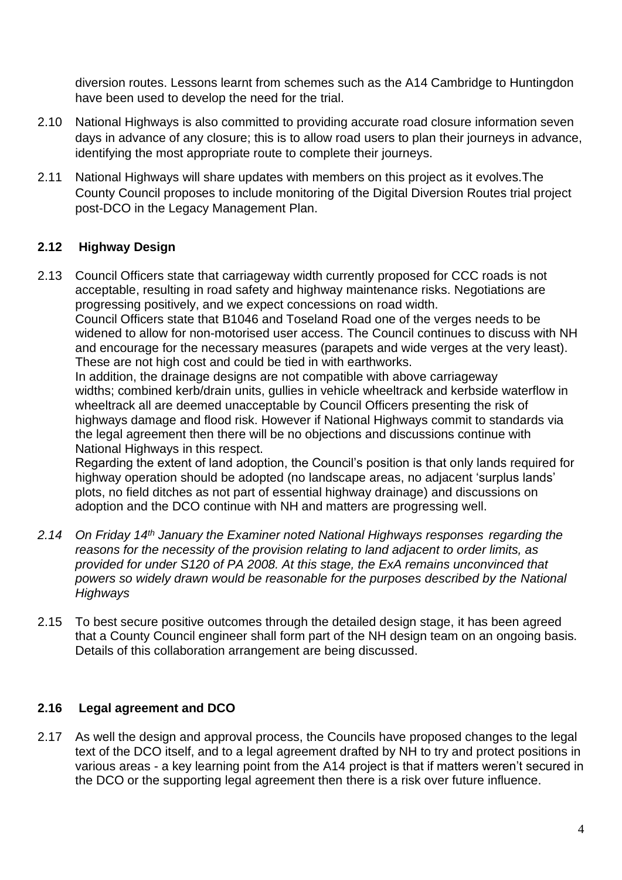diversion routes. Lessons learnt from schemes such as the A14 Cambridge to Huntingdon have been used to develop the need for the trial.

- 2.10 National Highways is also committed to providing accurate road closure information seven days in advance of any closure; this is to allow road users to plan their journeys in advance, identifying the most appropriate route to complete their journeys.
- 2.11 National Highways will share updates with members on this project as it evolves.The County Council proposes to include monitoring of the Digital Diversion Routes trial project post-DCO in the Legacy Management Plan.

## **2.12 Highway Design**

2.13 Council Officers state that carriageway width currently proposed for CCC roads is not acceptable, resulting in road safety and highway maintenance risks. Negotiations are progressing positively, and we expect concessions on road width. Council Officers state that B1046 and Toseland Road one of the verges needs to be widened to allow for non-motorised user access. The Council continues to discuss with NH and encourage for the necessary measures (parapets and wide verges at the very least).

These are not high cost and could be tied in with earthworks. In addition, the drainage designs are not compatible with above carriageway

widths; combined kerb/drain units, gullies in vehicle wheeltrack and kerbside waterflow in wheeltrack all are deemed unacceptable by Council Officers presenting the risk of highways damage and flood risk. However if National Highways commit to standards via the legal agreement then there will be no objections and discussions continue with National Highways in this respect.

Regarding the extent of land adoption, the Council's position is that only lands required for highway operation should be adopted (no landscape areas, no adjacent 'surplus lands' plots, no field ditches as not part of essential highway drainage) and discussions on adoption and the DCO continue with NH and matters are progressing well.

- *2.14 On Friday 14th January the Examiner noted National Highways responses regarding the reasons for the necessity of the provision relating to land adjacent to order limits, as provided for under S120 of PA 2008. At this stage, the ExA remains unconvinced that powers so widely drawn would be reasonable for the purposes described by the National Highways*
- 2.15 To best secure positive outcomes through the detailed design stage, it has been agreed that a County Council engineer shall form part of the NH design team on an ongoing basis. Details of this collaboration arrangement are being discussed.

### **2.16 Legal agreement and DCO**

2.17 As well the design and approval process, the Councils have proposed changes to the legal text of the DCO itself, and to a legal agreement drafted by NH to try and protect positions in various areas - a key learning point from the A14 project is that if matters weren't secured in the DCO or the supporting legal agreement then there is a risk over future influence.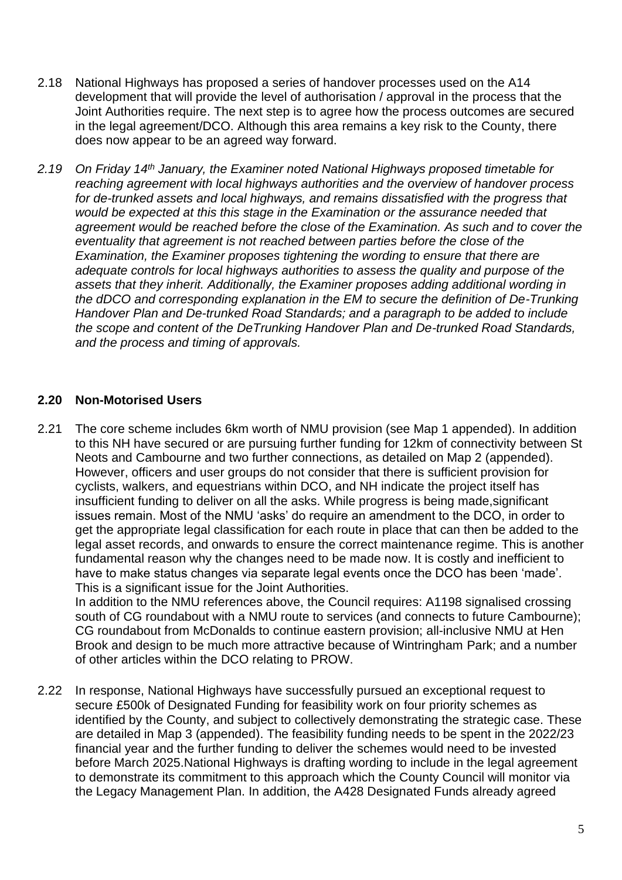- 2.18 National Highways has proposed a series of handover processes used on the A14 development that will provide the level of authorisation / approval in the process that the Joint Authorities require. The next step is to agree how the process outcomes are secured in the legal agreement/DCO. Although this area remains a key risk to the County, there does now appear to be an agreed way forward.
- *2.19 On Friday 14th January, the Examiner noted National Highways proposed timetable for reaching agreement with local highways authorities and the overview of handover process for de-trunked assets and local highways, and remains dissatisfied with the progress that would be expected at this this stage in the Examination or the assurance needed that agreement would be reached before the close of the Examination. As such and to cover the eventuality that agreement is not reached between parties before the close of the Examination, the Examiner proposes tightening the wording to ensure that there are adequate controls for local highways authorities to assess the quality and purpose of the assets that they inherit. Additionally, the Examiner proposes adding additional wording in the dDCO and corresponding explanation in the EM to secure the definition of De-Trunking Handover Plan and De-trunked Road Standards; and a paragraph to be added to include the scope and content of the DeTrunking Handover Plan and De-trunked Road Standards, and the process and timing of approvals.*

#### **2.20 Non-Motorised Users**

2.21 The core scheme includes 6km worth of NMU provision (see Map 1 appended). In addition to this NH have secured or are pursuing further funding for 12km of connectivity between St Neots and Cambourne and two further connections, as detailed on Map 2 (appended). However, officers and user groups do not consider that there is sufficient provision for cyclists, walkers, and equestrians within DCO, and NH indicate the project itself has insufficient funding to deliver on all the asks. While progress is being made,significant issues remain. Most of the NMU 'asks' do require an amendment to the DCO, in order to get the appropriate legal classification for each route in place that can then be added to the legal asset records, and onwards to ensure the correct maintenance regime. This is another fundamental reason why the changes need to be made now. It is costly and inefficient to have to make status changes via separate legal events once the DCO has been 'made'. This is a significant issue for the Joint Authorities.

In addition to the NMU references above, the Council requires: A1198 signalised crossing south of CG roundabout with a NMU route to services (and connects to future Cambourne); CG roundabout from McDonalds to continue eastern provision; all-inclusive NMU at Hen Brook and design to be much more attractive because of Wintringham Park; and a number of other articles within the DCO relating to PROW.

2.22 In response, National Highways have successfully pursued an exceptional request to secure £500k of Designated Funding for feasibility work on four priority schemes as identified by the County, and subject to collectively demonstrating the strategic case. These are detailed in Map 3 (appended). The feasibility funding needs to be spent in the 2022/23 financial year and the further funding to deliver the schemes would need to be invested before March 2025.National Highways is drafting wording to include in the legal agreement to demonstrate its commitment to this approach which the County Council will monitor via the Legacy Management Plan. In addition, the A428 Designated Funds already agreed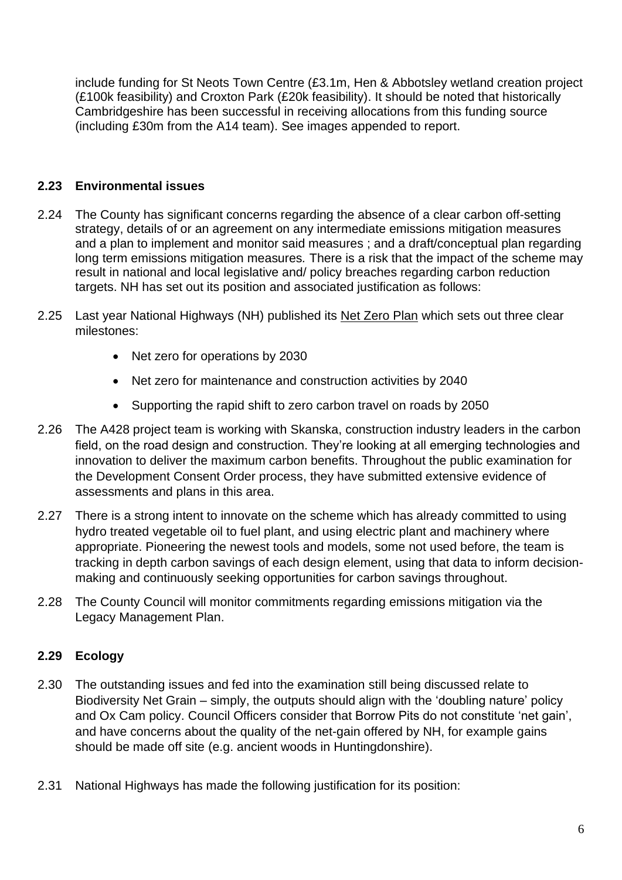include funding for St Neots Town Centre (£3.1m, Hen & Abbotsley wetland creation project (£100k feasibility) and Croxton Park (£20k feasibility). It should be noted that historically Cambridgeshire has been successful in receiving allocations from this funding source (including £30m from the A14 team). See images appended to report.

### **2.23 Environmental issues**

- 2.24 The County has significant concerns regarding the absence of a clear carbon off-setting strategy, details of or an agreement on any intermediate emissions mitigation measures and a plan to implement and monitor said measures ; and a draft/conceptual plan regarding long term emissions mitigation measures*.* There is a risk that the impact of the scheme may result in national and local legislative and/ policy breaches regarding carbon reduction targets. NH has set out its position and associated justification as follows:
- 2.25 Last year National Highways (NH) published its [Net Zero Plan](https://nationalhighways.co.uk/netzerohighways/) which sets out three clear milestones:
	- Net zero for operations by 2030
	- Net zero for maintenance and construction activities by 2040
	- Supporting the rapid shift to zero carbon travel on roads by 2050
- 2.26 The A428 project team is working with Skanska, construction industry leaders in the carbon field, on the road design and construction. They're looking at all emerging technologies and innovation to deliver the maximum carbon benefits. Throughout the public examination for the Development Consent Order process, they have submitted extensive evidence of assessments and plans in this area.
- 2.27 There is a strong intent to innovate on the scheme which has already committed to using hydro treated vegetable oil to fuel plant, and using electric plant and machinery where appropriate. Pioneering the newest tools and models, some not used before, the team is tracking in depth carbon savings of each design element, using that data to inform decisionmaking and continuously seeking opportunities for carbon savings throughout.
- 2.28 The County Council will monitor commitments regarding emissions mitigation via the Legacy Management Plan.

## **2.29 Ecology**

- 2.30 The outstanding issues and fed into the examination still being discussed relate to Biodiversity Net Grain – simply, the outputs should align with the 'doubling nature' policy and Ox Cam policy. Council Officers consider that Borrow Pits do not constitute 'net gain', and have concerns about the quality of the net-gain offered by NH, for example gains should be made off site (e.g. ancient woods in Huntingdonshire).
- 2.31 National Highways has made the following justification for its position: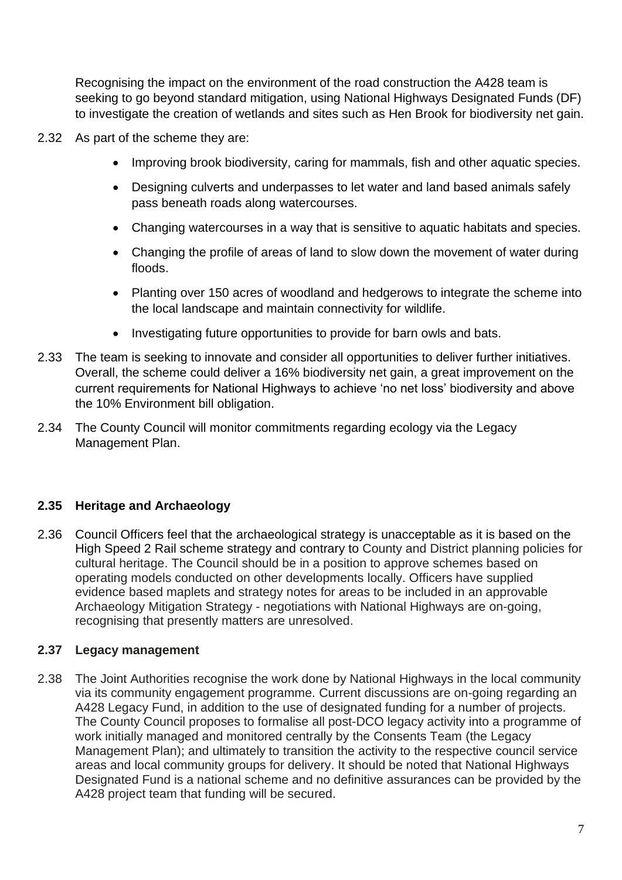Recognising the impact on the environment of the road construction the A428 team is seeking to go beyond standard mitigation, using National Highways Designated Funds (DF) to investigate the creation of wetlands and sites such as Hen Brook for biodiversity net gain.

- 2.32 As part of the scheme they are:
	- Improving brook biodiversity, caring for mammals, fish and other aquatic species.
	- Designing culverts and underpasses to let water and land based animals safely pass beneath roads along watercourses.
	- Changing watercourses in a way that is sensitive to aquatic habitats and species.
	- Changing the profile of areas of land to slow down the movement of water during floods.
	- Planting over 150 acres of woodland and hedgerows to integrate the scheme into the local landscape and maintain connectivity for wildlife.
	- Investigating future opportunities to provide for barn owls and bats.
- 2.33 The team is seeking to innovate and consider all opportunities to deliver further initiatives. Overall, the scheme could deliver a 16% biodiversity net gain, a great improvement on the current requirements for National Highways to achieve 'no net loss' biodiversity and above the 10% Environment bill obligation.
- 2.34 The County Council will monitor commitments regarding ecology via the Legacy Management Plan.

## **2.35 Heritage and Archaeology**

2.36 Council Officers feel that the archaeological strategy is unacceptable as it is based on the High Speed 2 Rail scheme strategy and contrary to County and District planning policies for cultural heritage. The Council should be in a position to approve schemes based on operating models conducted on other developments locally. Officers have supplied evidence based maplets and strategy notes for areas to be included in an approvable Archaeology Mitigation Strategy - negotiations with National Highways are on-going, recognising that presently matters are unresolved.

### **2.37 Legacy management**

2.38 The Joint Authorities recognise the work done by National Highways in the local community via its community engagement programme. Current discussions are on-going regarding an A428 Legacy Fund, in addition to the use of designated funding for a number of projects. The County Council proposes to formalise all post-DCO legacy activity into a programme of work initially managed and monitored centrally by the Consents Team (the Legacy Management Plan); and ultimately to transition the activity to the respective council service areas and local community groups for delivery. It should be noted that National Highways Designated Fund is a national scheme and no definitive assurances can be provided by the A428 project team that funding will be secured.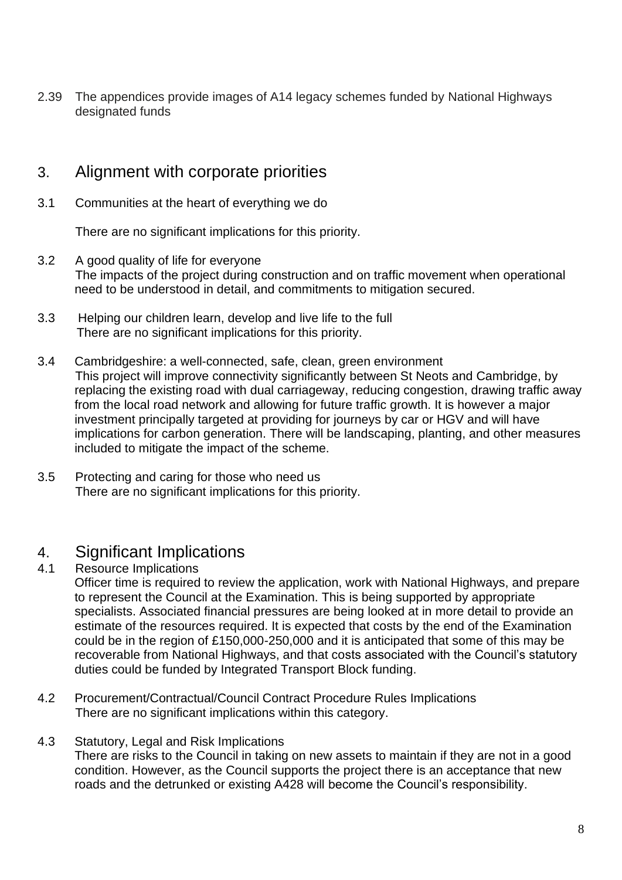2.39 The appendices provide images of A14 legacy schemes funded by National Highways designated funds

## 3. Alignment with corporate priorities

3.1 Communities at the heart of everything we do

There are no significant implications for this priority.

- 3.2 A good quality of life for everyone The impacts of the project during construction and on traffic movement when operational need to be understood in detail, and commitments to mitigation secured.
- 3.3 Helping our children learn, develop and live life to the full There are no significant implications for this priority.
- 3.4 Cambridgeshire: a well-connected, safe, clean, green environment This project will improve connectivity significantly between St Neots and Cambridge, by replacing the existing road with dual carriageway, reducing congestion, drawing traffic away from the local road network and allowing for future traffic growth. It is however a major investment principally targeted at providing for journeys by car or HGV and will have implications for carbon generation. There will be landscaping, planting, and other measures included to mitigate the impact of the scheme.
- 3.5 Protecting and caring for those who need us There are no significant implications for this priority.

## 4. Significant Implications

4.1 Resource Implications

Officer time is required to review the application, work with National Highways, and prepare to represent the Council at the Examination. This is being supported by appropriate specialists. Associated financial pressures are being looked at in more detail to provide an estimate of the resources required. It is expected that costs by the end of the Examination could be in the region of £150,000-250,000 and it is anticipated that some of this may be recoverable from National Highways, and that costs associated with the Council's statutory duties could be funded by Integrated Transport Block funding.

- 4.2 Procurement/Contractual/Council Contract Procedure Rules Implications There are no significant implications within this category.
- 4.3 Statutory, Legal and Risk Implications There are risks to the Council in taking on new assets to maintain if they are not in a good condition. However, as the Council supports the project there is an acceptance that new roads and the detrunked or existing A428 will become the Council's responsibility.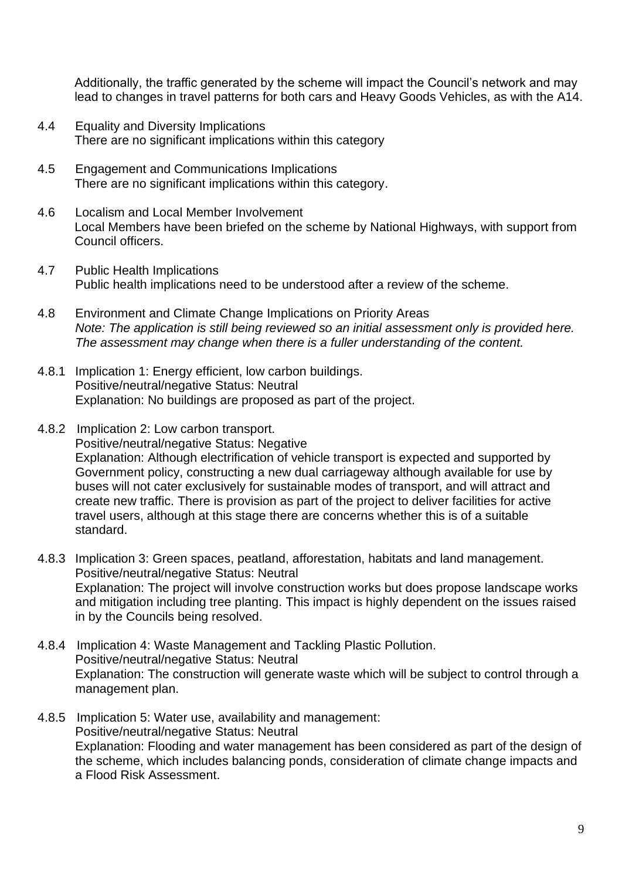Additionally, the traffic generated by the scheme will impact the Council's network and may lead to changes in travel patterns for both cars and Heavy Goods Vehicles, as with the A14.

- 4.4 Equality and Diversity Implications There are no significant implications within this category
- 4.5 Engagement and Communications Implications There are no significant implications within this category.
- 4.6 Localism and Local Member Involvement Local Members have been briefed on the scheme by National Highways, with support from Council officers.
- 4.7 Public Health Implications Public health implications need to be understood after a review of the scheme.
- 4.8 Environment and Climate Change Implications on Priority Areas *Note: The application is still being reviewed so an initial assessment only is provided here. The assessment may change when there is a fuller understanding of the content.*
- 4.8.1 Implication 1: Energy efficient, low carbon buildings. Positive/neutral/negative Status: Neutral Explanation: No buildings are proposed as part of the project.
- 4.8.2 Implication 2: Low carbon transport. Positive/neutral/negative Status: Negative Explanation: Although electrification of vehicle transport is expected and supported by Government policy, constructing a new dual carriageway although available for use by buses will not cater exclusively for sustainable modes of transport, and will attract and create new traffic. There is provision as part of the project to deliver facilities for active travel users, although at this stage there are concerns whether this is of a suitable standard.
- 4.8.3 Implication 3: Green spaces, peatland, afforestation, habitats and land management. Positive/neutral/negative Status: Neutral Explanation: The project will involve construction works but does propose landscape works and mitigation including tree planting. This impact is highly dependent on the issues raised in by the Councils being resolved.
- 4.8.4 Implication 4: Waste Management and Tackling Plastic Pollution. Positive/neutral/negative Status: Neutral Explanation: The construction will generate waste which will be subject to control through a management plan.
- 4.8.5 Implication 5: Water use, availability and management: Positive/neutral/negative Status: Neutral Explanation: Flooding and water management has been considered as part of the design of the scheme, which includes balancing ponds, consideration of climate change impacts and a Flood Risk Assessment.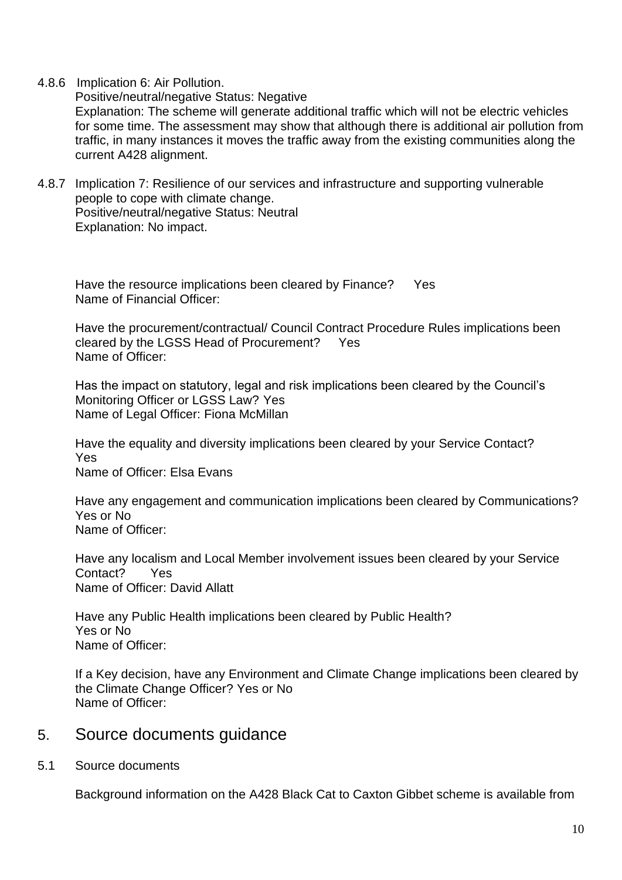4.8.6 Implication 6: Air Pollution.

Positive/neutral/negative Status: Negative

Explanation: The scheme will generate additional traffic which will not be electric vehicles for some time. The assessment may show that although there is additional air pollution from traffic, in many instances it moves the traffic away from the existing communities along the current A428 alignment.

4.8.7 Implication 7: Resilience of our services and infrastructure and supporting vulnerable people to cope with climate change. Positive/neutral/negative Status: Neutral Explanation: No impact.

Have the resource implications been cleared by Finance? Yes Name of Financial Officer:

Have the procurement/contractual/ Council Contract Procedure Rules implications been cleared by the LGSS Head of Procurement? Yes Name of Officer:

Has the impact on statutory, legal and risk implications been cleared by the Council's Monitoring Officer or LGSS Law? Yes Name of Legal Officer: Fiona McMillan

Have the equality and diversity implications been cleared by your Service Contact? Yes Name of Officer: Elsa Evans

Have any engagement and communication implications been cleared by Communications? Yes or No Name of Officer:

Have any localism and Local Member involvement issues been cleared by your Service Contact? Yes Name of Officer: David Allatt

Have any Public Health implications been cleared by Public Health? Yes or No Name of Officer:

If a Key decision, have any Environment and Climate Change implications been cleared by the Climate Change Officer? Yes or No Name of Officer:

## 5. Source documents guidance

5.1 Source documents

Background information on the A428 Black Cat to Caxton Gibbet scheme is available from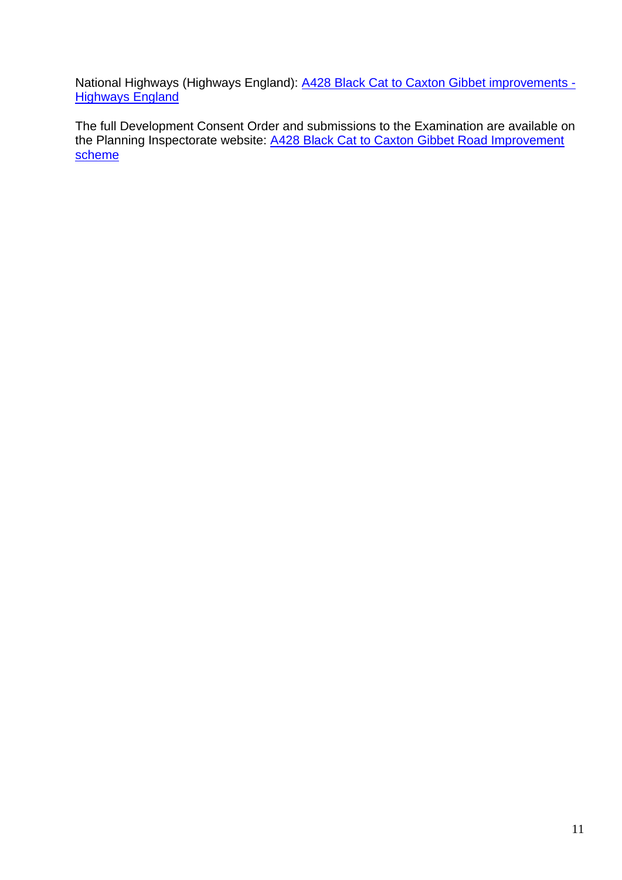National Highways (Highways England): [A428 Black Cat to Caxton Gibbet improvements -](https://highwaysengland.co.uk/our-work/a428-black-cat-to-caxton-gibbet/) **[Highways England](https://highwaysengland.co.uk/our-work/a428-black-cat-to-caxton-gibbet/)** 

The full Development Consent Order and submissions to the Examination are available on the Planning Inspectorate website: A428 Black Cat to Caxton Gibbet Road Improvement [scheme](https://infrastructure.planninginspectorate.gov.uk/projects/eastern/a428-black-cat-to-caxton-gibbet-road-improvement-scheme/?ipcsection=docs)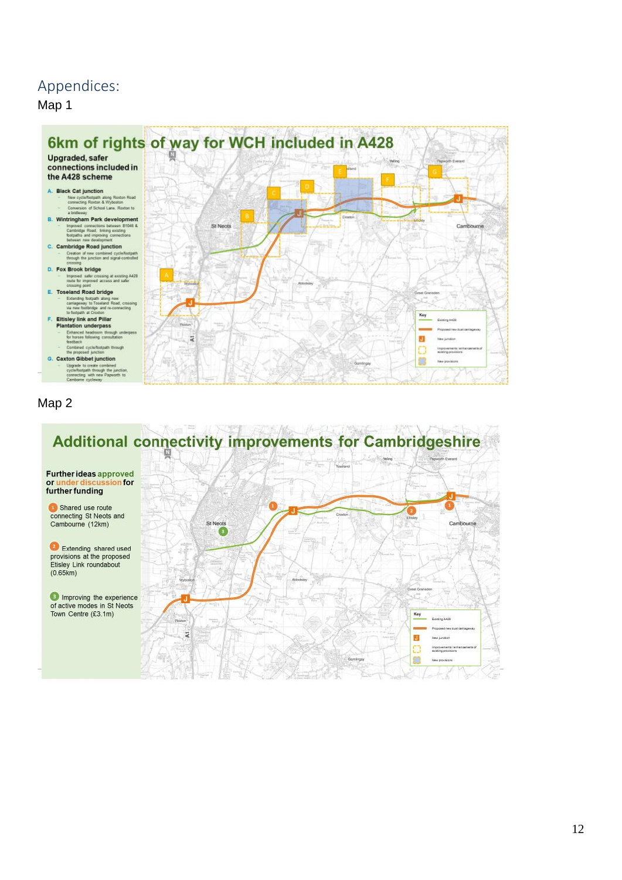## Appendices:

Map 1



### Map 2

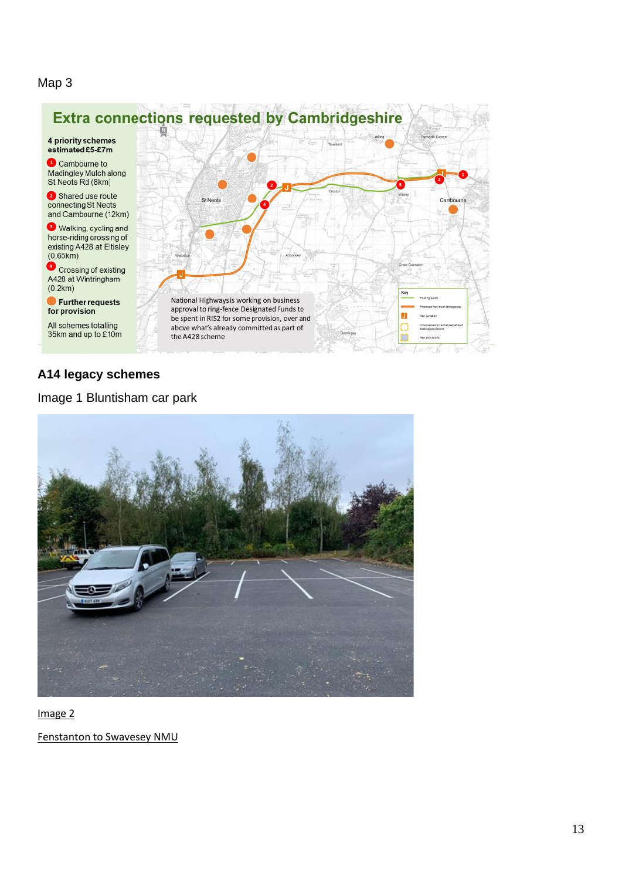#### Map 3



#### **A14 legacy schemes**

Image 1 Bluntisham car park



Image 2

Fenstanton to Swavesey NMU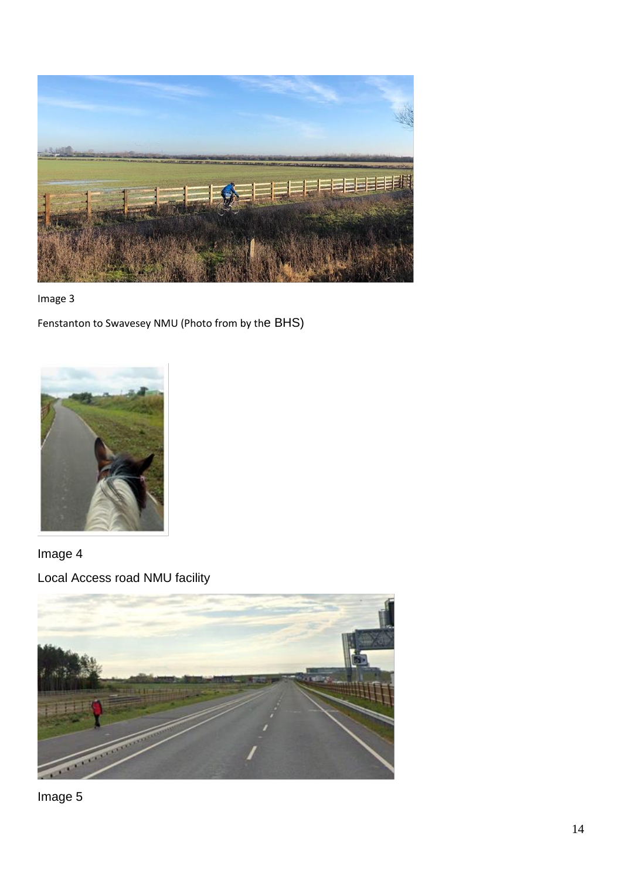



Fenstanton to Swavesey NMU (Photo from by the BHS)



Image 4

Local Access road NMU facility